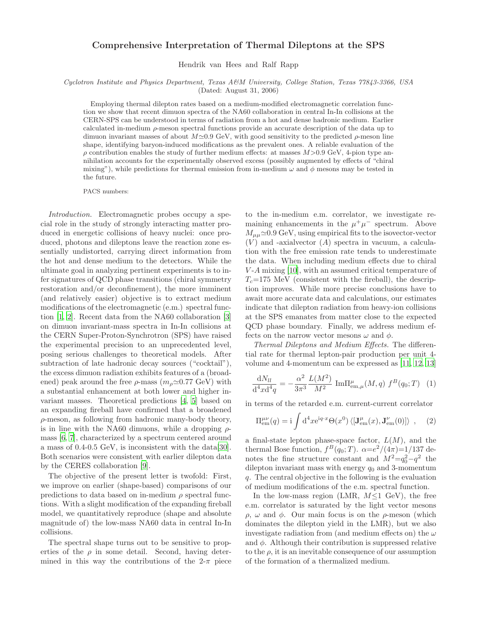## Comprehensive Interpretation of Thermal Dileptons at the SPS

Hendrik van Hees and Ralf Rapp

Cyclotron Institute and Physics Department, Texas A&M University, College Station, Texas 77843-3366, USA (Dated: August 31, 2006)

Employing thermal dilepton rates based on a medium-modified electromagnetic correlation function we show that recent dimuon spectra of the NA60 collaboration in central In-In collisions at the CERN-SPS can be understood in terms of radiation from a hot and dense hadronic medium. Earlier calculated in-medium  $\rho$ -meson spectral functions provide an accurate description of the data up to dimuon invariant masses of about  $M \simeq 0.9$  GeV, with good sensitivity to the predicted  $\rho$ -meson line shape, identifying baryon-induced modifications as the prevalent ones. A reliable evaluation of the  $\rho$  contribution enables the study of further medium effects: at masses  $M>0.9$  GeV, 4-pion type annihilation accounts for the experimentally observed excess (possibly augmented by effects of "chiral mixing"), while predictions for thermal emission from in-medium  $\omega$  and  $\phi$  mesons may be tested in the future.

PACS numbers:

Introduction. Electromagnetic probes occupy a special role in the study of strongly interacting matter produced in energetic collisions of heavy nuclei: once produced, photons and dileptons leave the reaction zone essentially undistorted, carrying direct information from the hot and dense medium to the detectors. While the ultimate goal in analyzing pertinent experiments is to infer signatures of QCD phase transitions (chiral symmetry restoration and/or deconfinement), the more imminent (and relatively easier) objective is to extract medium modifications of the electromagnetic (e.m.) spectral function [\[1](#page-3-0), [2\]](#page-3-1). Recent data from the NA60 collaboration [\[3](#page-3-2)] on dimuon invariant-mass spectra in In-In collisions at the CERN Super-Proton-Synchrotron (SPS) have raised the experimental precision to an unprecedented level, posing serious challenges to theoretical models. After subtraction of late hadronic decay sources ("cocktail"), the excess dimuon radiation exhibits features of a (broadened) peak around the free  $\rho$ -mass  $(m_\rho \simeq 0.77 \text{ GeV})$  with a substantial enhancement at both lower and higher invariant masses. Theoretical predictions [\[4,](#page-3-3) [5](#page-3-4)] based on an expanding fireball have confirmed that a broadened  $\rho$ -meson, as following from hadronic many-body theory, is in line with the NA60 dimuons, while a dropping  $\rho$ mass [\[6,](#page-3-5) [7\]](#page-3-6), characterized by a spectrum centered around a mass of 0.4-0.5 GeV, is inconsistent with the data[\[30\]](#page-3-7). Both scenarios were consistent with earlier dilepton data by the CERES collaboration [\[9\]](#page-3-8).

The objective of the present letter is twofold: First, we improve on earlier (shape-based) comparisons of our predictions to data based on in-medium  $\rho$  spectral functions. With a slight modification of the expanding fireball model, we quantitatively reproduce (shape and absolute magnitude of) the low-mass NA60 data in central In-In collisions.

The spectral shape turns out to be sensitive to properties of the  $\rho$  in some detail. Second, having determined in this way the contributions of the  $2-\pi$  piece to the in-medium e.m. correlator, we investigate remaining enhancements in the  $\mu^+\mu^-$  spectrum. Above  $M_{\mu\mu} \simeq 0.9$  GeV, using empirical fits to the isovector-vector  $(V)$  and -axialvector  $(A)$  spectra in vacuum, a calculation with the free emission rate tends to underestimate the data. When including medium effects due to chiral  $V-A$  mixing [\[10](#page-3-9)], with an assumed critical temperature of  $T_c$ =175 MeV (consistent with the fireball), the description improves. While more precise conclusions have to await more accurate data and calculations, our estimates indicate that dilepton radiation from heavy-ion collisions at the SPS emanates from matter close to the expected QCD phase boundary. Finally, we address medium effects on the narrow vector mesons  $\omega$  and  $\phi$ .

Thermal Dileptons and Medium Effects. The differential rate for thermal lepton-pair production per unit 4 volume and 4-momentum can be expressed as [\[11](#page-3-10), [12,](#page-3-11) [13](#page-3-12)]

$$
\frac{\mathrm{d}N_{ll}}{\mathrm{d}^4x\mathrm{d}^4q} = -\frac{\alpha^2}{3\pi^3} \frac{L(M^2)}{M^2} \operatorname{Im}\Pi^{\mu}_{\text{em},\mu}(M,q) f^B(q_0;T) \tag{1}
$$

<span id="page-0-0"></span>in terms of the retarded e.m. current-current correlator

$$
\Pi_{em}^{\mu\nu}(q) = i \int d^4x e^{iq \cdot x} \Theta(x^0) \langle [\mathbf{J}_{em}^{\mu}(x), \mathbf{J}_{em}^{\nu}(0)] \rangle , \quad (2)
$$

a final-state lepton phase-space factor,  $L(M)$ , and the thermal Bose function,  $f^{B}(q_0; T)$ .  $\alpha = e^2/(4\pi) = 1/137$  denotes the fine structure constant and  $M^2 = q_0^2 - q^2$  the dilepton invariant mass with energy  $q_0$  and 3-momentum q. The central objective in the following is the evaluation of medium modifications of the e.m. spectral function.

In the low-mass region (LMR,  $M \leq 1$  GeV), the free e.m. correlator is saturated by the light vector mesons ρ, ω and φ. Our main focus is on the ρ-meson (which dominates the dilepton yield in the LMR), but we also investigate radiation from (and medium effects on) the  $\omega$ and  $\phi$ . Although their contribution is suppressed relative to the  $\rho$ , it is an inevitable consequence of our assumption of the formation of a thermalized medium.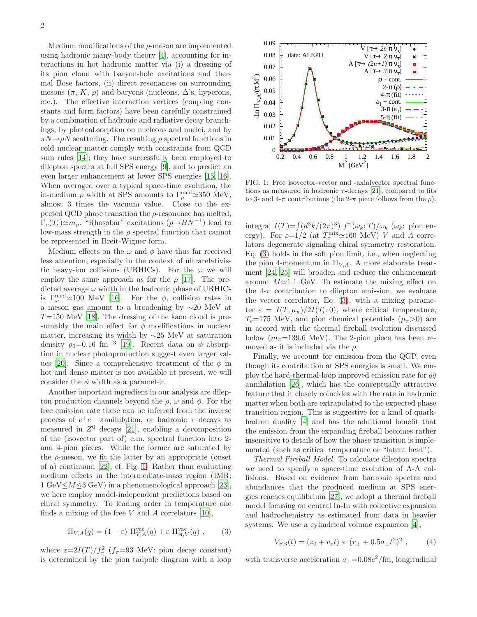Medium modifications of the  $\rho$ -meson are implemented using hadronic many-body theory [\[4](#page-3-3)], accounting for interactions in hot hadronic matter via (i) a dressing of its pion cloud with baryon-hole excitations and thermal Bose factors, (ii) direct resonances on surrounding mesons  $(\pi, K, \rho)$  and baryons (nucleons,  $\Delta$ 's, hyperons, etc.). The effective interaction vertices (coupling constants and form factors) have been carefully constrained by a combination of hadronic and radiative decay branchings, by photoabsorption on nucleons and nuclei, and by  $\pi N \rightarrow \rho N$  scattering. The resulting  $\rho$  spectral functions in cold nuclear matter comply with constraints from QCD sum rules [\[14\]](#page-3-13); they have successfully been employed to dilepton spectra at full SPS energy [\[9\]](#page-3-8), and to predict an even larger enhancement at lower SPS energies [\[15](#page-3-14), [16\]](#page-3-15). When averaged over a typical space-time evolution, the in-medium  $\rho$  width at SPS amounts to  $\Gamma_{\rho}^{\text{med}} \approx 350 \text{ MeV}$ , almost 3 times the vacuum value. Close to the expected QCD phase transition the  $\rho$ -resonance has melted,  $\Gamma_{\rho}(T_c) \simeq m_{\rho}$ . "Rhosobar" excitations  $(\rho \rightarrow B N^{-1})$  lead to low-mass strength in the  $\rho$  spectral function that cannot be represented in Breit-Wigner form.

Medium effects on the  $\omega$  and  $\phi$  have thus far received less attention, especially in the context of ultrarelativistic heavy-ion collisions (URHICs). For the  $\omega$  we will employ the same approach as for the  $\rho$  [\[17](#page-3-16)]. The predicted average  $\omega$  width in the hadronic phase of URHICs is  $\Gamma_{\omega}^{\text{med}} \simeq 100 \text{ MeV}$  [\[16](#page-3-15)]. For the  $\phi$ , collision rates in a meson gas amount to a broadening by ∼20 MeV at  $T=150$  MeV [\[18](#page-3-17)]. The dressing of the kaon cloud is presumably the main effect for  $\phi$  modifications in nuclear matter, increasing its width by ∼25 MeV at saturation density  $\varrho_0=0.16 \text{ fm}^{-3}$  [\[19\]](#page-3-18). Recent data on  $\phi$  absorption in nuclear photoproduction suggest even larger val-ues [\[20](#page-3-19)]. Since a comprehensive treatment of the  $\phi$  in hot and dense matter is not available at present, we will consider the  $\phi$  width as a parameter.

Another important ingredient in our analysis are dilepton production channels beyond the  $\rho$ ,  $\omega$  and  $\phi$ . For the free emission rate these can be inferred from the inverse process of  $e^+e^-$  annihilation, or hadronic  $\tau$  decays as measured in  $Z^0$  decays [\[21](#page-3-20)], enabling a decomposition of the (isovector part of) e.m. spectral function into 2 and 4-pion pieces. While the former are saturated by the  $\rho$ -meson, we fit the latter by an appropriate (onset of a) continuum [\[22](#page-3-21)], cf. Fig. [1.](#page-1-0) Rather than evaluating medium effects in the intermediate-mass region (IMR;  $1 \text{ GeV} \leq M \leq 3 \text{ GeV}$  in a phenomenological approach [\[23\]](#page-3-22), we here employ model-independent predictions based on chiral symmetry. To leading order in temperature one finds a mixing of the free V and A correlators  $[10]$ ,

$$
\Pi_{V,A}(q) = (1 - \varepsilon) \Pi^{\text{vac}}_{V,A}(q) + \varepsilon \Pi^{\text{vac}}_{A,V}(q) ,\qquad (3)
$$

<span id="page-1-1"></span>where  $\varepsilon = 2I(T)/f_{\pi}^2$  ( $f_{\pi} = 93$  MeV: pion decay constant) is determined by the pion tadpole diagram with a loop



<span id="page-1-0"></span>FIG. 1: Free isovector-vector and -axialvector spectral functions as measured in hadronic  $\tau$ -decays [\[21\]](#page-3-20), compared to fits to 3- and 4-π contributions (the 2-π piece follows from the  $\rho$ ).

integral  $I(T) = \int (d^3k/(2\pi)^3) f^{\pi}(\omega_k; T)/\omega_k$  ( $\omega_k$ : pion energy). For  $\varepsilon = 1/2$  (at  $T_c^{\text{mix}} \approx 160 \text{ MeV}$ ) V and A correlators degenerate signaling chiral symmetry restoration. Eq. [\(3\)](#page-1-1) holds in the soft pion limit, i.e., when neglecting the pion 4-momentum in  $\Pi_{V,A}$ . A more elaborate treatment [\[24](#page-3-23), [25\]](#page-3-24) will broaden and reduce the enhancement around  $M \simeq 1.1$  GeV. To estimate the mixing effect on the  $4-\pi$  contribution to dilepton emission, we evaluate the vector correlator, Eq. [\(3\)](#page-1-1), with a mixing parameter  $\varepsilon = I(T, \mu_\pi)/2I(T_c, 0)$ , where critical temperature,  $T_c=175$  MeV, and pion chemical potentials  $(\mu_\pi>0)$  are in accord with the thermal fireball evolution discussed below  $(m_{\pi}=139.6 \text{ MeV})$ . The 2-pion piece has been removed as it is included via the  $\rho$ .

Finally, we account for emission from the QGP, even though its contribution at SPS energies is small. We employ the hard-thermal-loop improved emission rate for  $q\bar{q}$ annihilation [\[26\]](#page-3-25), which has the conceptually attractive feature that it closely coincides with the rate in hadronic matter when both are extrapolated to the expected phase transition region. This is suggestive for a kind of quarkhadron duality [\[4](#page-3-3)] and has the additional benefit that the emission from the expanding fireball becomes rather insensitive to details of how the phase transition is implemented (such as critical temperature or "latent heat").

Thermal Fireball Model. To calculate dilepton spectra we need to specify a space-time evolution of A-A collisions. Based on evidence from hadronic spectra and abundances that the produced medium at SPS energies reaches equilibrium [\[27](#page-3-26)], we adopt a thermal fireball model focusing on central In-In with collective expansion and hadrochemistry as estimated from data in heavier systems. We use a cylindrical volume expansion [\[4](#page-3-3)],

$$
V_{\rm FB}(t) = (z_0 + v_z t) \pi (r_{\perp} + 0.5a_{\perp}t^2)^2 , \qquad (4)
$$

with transverse acceleration  $a_{\perp} = 0.08c^2$ /fm, longitudinal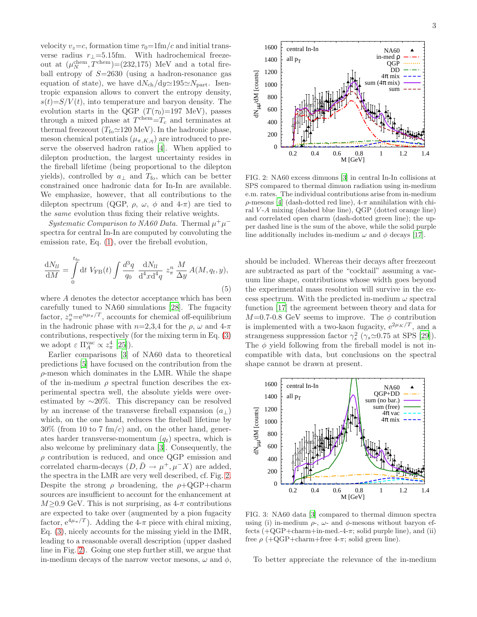velocity  $v_z = c$ , formation time  $\tau_0 = 1$ fm/c and initial transverse radius  $r_{\perp}$ =5.15fm. With hadrochemical freezeout at  $(\mu_N^{\text{chem}}, T^{\text{chem}}) = (232, 175)$  MeV and a total fireball entropy of  $S=2630$  (using a hadron-resonance gas equation of state), we have  $dN_{ch}/dy\simeq 195 \simeq N_{part}$ . Isentropic expansion allows to convert the entropy density,  $s(t)=S/V(t)$ , into temperature and baryon density. The evolution starts in the QGP  $(T(\tau_0)=197 \text{ MeV})$ , passes through a mixed phase at  $T^{\text{chem}} = T_c$  and terminates at thermal freezeout ( $T_{\text{fo}} \simeq 120 \text{ MeV}$ ). In the hadronic phase, meson chemical potentials  $(\mu_{\pi,K,\eta})$  are introduced to preserve the observed hadron ratios [\[4](#page-3-3)]. When applied to dilepton production, the largest uncertainty resides in the fireball lifetime (being proportional to the dilepton yields), controlled by  $a_{\perp}$  and  $T_{\text{fo}}$ , which can be better constrained once hadronic data for In-In are available. We emphasize, however, that all contributions to the dilepton spectrum (QGP,  $\rho$ ,  $\omega$ ,  $\phi$  and  $4-\pi$ ) are tied to the same evolution thus fixing their relative weights.

Systematic Comparison to NA60 Data. Thermal  $\mu^+ \mu^$ spectra for central In-In are computed by convoluting the emission rate, Eq. [\(1\)](#page-0-0), over the fireball evolution,

$$
\frac{dN_{ll}}{dM} = \int_{0}^{t_{\text{fo}}} dt \ V_{\text{FB}}(t) \int \frac{d^{3}q}{q_{0}} \ \frac{dN_{ll}}{d^{4}x d^{4}q} \ z_{\pi}^{n} \frac{M}{\Delta y} A(M, q_{t}, y), \tag{5}
$$

where A denotes the detector acceptance which has been carefully tuned to NA60 simulations [\[28\]](#page-3-27). The fugacity factor,  $z_{\pi}^n = e^{n\mu_{\pi}/T}$ , accounts for chemical off-equilibrium in the hadronic phase with  $n=2,3,4$  for the  $\rho$ ,  $\omega$  and  $4-\pi$ contributions, respectively (for the mixing term in Eq. [\(3\)](#page-1-1) we adopt  $\varepsilon \prod_{A}^{\text{vac}} \propto z_{\pi}^4$  [\[25\]](#page-3-24)).

Earlier comparisons [\[3](#page-3-2)] of NA60 data to theoretical predictions [\[5](#page-3-4)] have focused on the contribution from the  $\rho$ -meson which dominates in the LMR. While the shape of the in-medium  $\rho$  spectral function describes the experimental spectra well, the absolute yields were overestimated by ∼20%. This discrepancy can be resolved by an increase of the transverse fireball expansion  $(a_{\perp})$ which, on the one hand, reduces the fireball lifetime by  $30\%$  (from 10 to 7 fm/c) and, on the other hand, generates harder transverse-momentum  $(q_t)$  spectra, which is also welcome by preliminary data [\[3\]](#page-3-2). Consequently, the  $\rho$  contribution is reduced, and once QGP emission and correlated charm-decays  $(D, \bar{D} \rightarrow \mu^+, \mu^- X)$  are added, the spectra in the LMR are very well described, cf. Fig. [2.](#page-2-0) Despite the strong  $\rho$  broadening, the  $\rho + \text{QGP} + \text{charm}$ sources are insufficient to account for the enhancement at  $M>0.9$  GeV. This is not surprising, as  $4-\pi$  contributions are expected to take over (augmented by a pion fugacity factor,  $e^{4\mu_{\pi}/T}$ ). Adding the  $4\pi$  piece with chiral mixing, Eq. [\(3\)](#page-1-1), nicely accounts for the missing yield in the IMR, leading to a reasonable overall description (upper dashed line in Fig. [2\)](#page-2-0). Going one step further still, we argue that in-medium decays of the narrow vector mesons,  $\omega$  and  $\phi$ ,



<span id="page-2-0"></span>FIG. 2: NA60 excess dimuons [\[3\]](#page-3-2) in central In-In collisions at SPS compared to thermal dimuon radiation using in-medium e.m. rates. The individual contributions arise from in-medium  $\rho$ -mesons [\[4](#page-3-3)] (dash-dotted red line), 4-π annihilation with chiral V -A mixing (dashed blue line), QGP (dotted orange line) and correlated open charm (dash-dotted green line); the upper dashed line is the sum of the above, while the solid purple line additionally includes in-medium  $\omega$  and  $\phi$  decays [\[17\]](#page-3-16).

should be included. Whereas their decays after freezeout are subtracted as part of the "cocktail" assuming a vacuum line shape, contributions whose width goes beyond the experimental mass resolution will survive in the excess spectrum. With the predicted in-medium  $\omega$  spectral function [\[17\]](#page-3-16) the agreement between theory and data for  $M=0.7-0.8$  GeV seems to improve. The  $\phi$  contribution is implemented with a two-kaon fugacity,  $e^{2\mu_K/T}$ , and a strangeness suppression factor  $\gamma_s^2$  ( $\gamma_s \simeq 0.75$  at SPS [\[29\]](#page-3-28)). The  $\phi$  yield following from the fireball model is not incompatible with data, but conclusions on the spectral shape cannot be drawn at present.



<span id="page-2-1"></span>FIG. 3: NA60 data [\[3\]](#page-3-2) compared to thermal dimuon spectra using (i) in-medium  $\rho$ -,  $\omega$ - and  $\phi$ -mesons without baryon effects  $(+\text{QGP}+\text{charm}+\text{in-med.}-4-\pi;$  solid purple line), and (ii) free  $\rho$  (+QGP+charm+free 4- $\pi$ ; solid green line).

To better appreciate the relevance of the in-medium